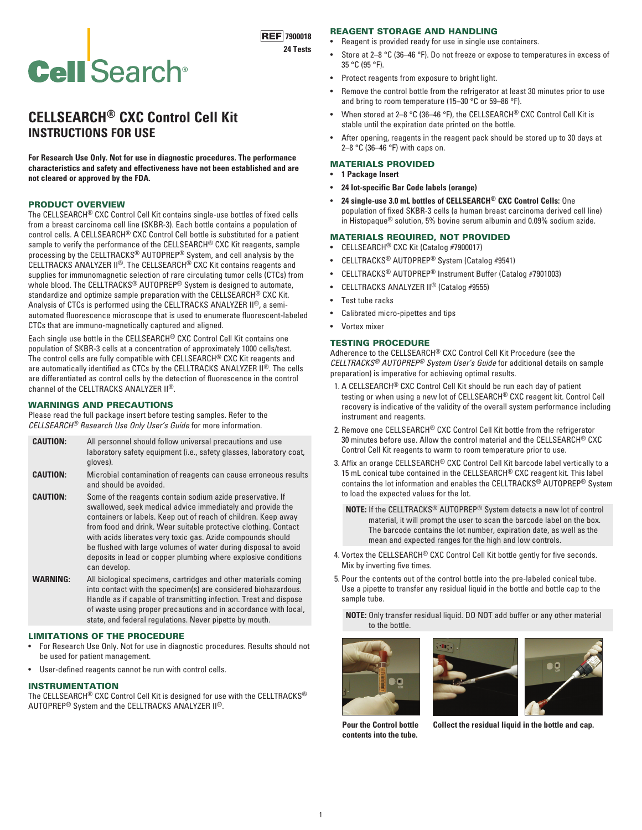# **REF** 7900018

**24 Tests**

# **Cell Search®**

# **CELLSEARCH® CXC Control Cell Kit INSTRUCTIONS FOR USE**

**For Research Use Only. Not for use in diagnostic procedures. The performance characteristics and safety and effectiveness have not been established and are not cleared or approved by the FDA.**

#### PRODUCT OVERVIEW

The CELLSEARCH® CXC Control Cell Kit contains single-use bottles of fixed cells from a breast carcinoma cell line (SKBR-3). Each bottle contains a population of control cells. A CELLSEARCH® CXC Control Cell bottle is substituted for a patient sample to verify the performance of the CELLSEARCH® CXC Kit reagents, sample processing by the CELLTRACKS® AUTOPREP® System, and cell analysis by the CELLTRACKS ANALYZER II®. The CELLSEARCH® CXC Kit contains reagents and supplies for immunomagnetic selection of rare circulating tumor cells (CTCs) from whole blood. The CELLTRACKS<sup>®</sup> AUTOPREP<sup>®</sup> System is designed to automate, standardize and optimize sample preparation with the CELLSEARCH® CXC Kit. Analysis of CTCs is performed using the CELLTRACKS ANALYZER II®, a semiautomated fluorescence microscope that is used to enumerate fluorescent-labeled CTCs that are immuno-magnetically captured and aligned.

Each single use bottle in the CELLSEARCH® CXC Control Cell Kit contains one population of SKBR-3 cells at a concentration of approximately 1000 cells/test. The control cells are fully compatible with CELLSEARCH® CXC Kit reagents and are automatically identified as CTCs by the CELLTRACKS ANALYZER II®. The cells are differentiated as control cells by the detection of fluorescence in the control channel of the CELLTRACKS ANALYZER II®.

#### WARNINGS AND PRECAUTIONS

Please read the full package insert before testing samples. Refer to the *CELLSEARCH® Research Use Only User's Guide* for more information.

| <b>CAUTION:</b> | All personnel should follow universal precautions and use           |  |  |
|-----------------|---------------------------------------------------------------------|--|--|
|                 | laboratory safety equipment (i.e., safety glasses, laboratory coat, |  |  |
|                 | gloves).                                                            |  |  |

- **CAUTION:** Microbial contamination of reagents can cause erroneous results and should be avoided.
- **CAUTION:** Some of the reagents contain sodium azide preservative. If swallowed, seek medical advice immediately and provide the containers or labels. Keep out of reach of children. Keep away from food and drink. Wear suitable protective clothing. Contact with acids liberates very toxic gas. Azide compounds should be flushed with large volumes of water during disposal to avoid deposits in lead or copper plumbing where explosive conditions can develop.
- **WARNING:** All biological specimens, cartridges and other materials coming into contact with the specimen(s) are considered biohazardous. Handle as if capable of transmitting infection. Treat and dispose of waste using proper precautions and in accordance with local, state, and federal regulations. Never pipette by mouth.

#### LIMITATIONS OF THE PROCEDURE

- For Research Use Only. Not for use in diagnostic procedures. Results should not be used for patient management.
- User-defined reagents cannot be run with control cells.

#### INSTRUMENTATION

The CELLSEARCH® CXC Control Cell Kit is designed for use with the CELLTRACKS® AUTOPREP® System and the CELLTRACKS ANALYZER II®.

# REAGENT STORAGE AND HANDLING

- Reagent is provided ready for use in single use containers.
- Store at 2–8 °C (36–46 °F). Do not freeze or expose to temperatures in excess of 35 °C (95 °F).
- Protect reagents from exposure to bright light.
- Remove the control bottle from the refrigerator at least 30 minutes prior to use and bring to room temperature (15–30 °C or 59–86 °F).
- When stored at 2–8 °C (36–46 °F), the CELLSEARCH® CXC Control Cell Kit is stable until the expiration date printed on the bottle.
- After opening, reagents in the reagent pack should be stored up to 30 days at 2–8 °C (36–46 °F) with caps on.

## MATERIALS PROVIDED

- **1 Package Insert**
- **24 lot-specific Bar Code labels (orange)**
- **24 single-use 3.0 mL bottles of CELLSEARCH® CXC Control Cells:** One population of fixed SKBR-3 cells (a human breast carcinoma derived cell line) in Histopaque® solution, 5% bovine serum albumin and 0.09% sodium azide.

## MATERIALS REQUIRED, NOT PROVIDED

- CELLSEARCH® CXC Kit (Catalog #7900017)
- CELLTRACKS® AUTOPREP® System (Catalog #9541)
- CELLTRACKS® AUTOPREP® Instrument Buffer (Catalog #7901003)
- CELLTRACKS ANALYZER II® (Catalog #9555)
- Test tube racks
- Calibrated micro-pipettes and tips
- Vortex mixer

## TESTING PROCEDURE

Adherence to the CELLSEARCH® CXC Control Cell Kit Procedure (see the *CELLTRACKS® AUTOPREP® System User's Guide* for additional details on sample preparation) is imperative for achieving optimal results.

- 1. A CELLSEARCH® CXC Control Cell Kit should be run each day of patient testing or when using a new lot of CELLSEARCH® CXC reagent kit. Control Cell recovery is indicative of the validity of the overall system performance including instrument and reagents.
- 2. Remove one CELLSEARCH® CXC Control Cell Kit bottle from the refrigerator 30 minutes before use. Allow the control material and the CELLSEARCH® CXC Control Cell Kit reagents to warm to room temperature prior to use.
- 3. Affix an orange CELLSEARCH® CXC Control Cell Kit barcode label vertically to a 15 mL conical tube contained in the CELLSEARCH® CXC reagent kit. This label contains the lot information and enables the CELLTRACKS® AUTOPREP® System to load the expected values for the lot.

**NOTE:** If the CELLTRACKS® AUTOPREP® System detects a new lot of control material, it will prompt the user to scan the barcode label on the box. The barcode contains the lot number, expiration date, as well as the mean and expected ranges for the high and low controls.

- 4. Vortex the CELLSEARCH® CXC Control Cell Kit bottle gently for five seconds. Mix by inverting five times.
- 5. Pour the contents out of the control bottle into the pre-labeled conical tube. Use a pipette to transfer any residual liquid in the bottle and bottle cap to the sample tube.

**NOTE:** Only transfer residual liquid. DO NOT add buffer or any other material to the bottle.







**Pour the Control bottle contents into the tube.**

**Collect the residual liquid in the bottle and cap.**